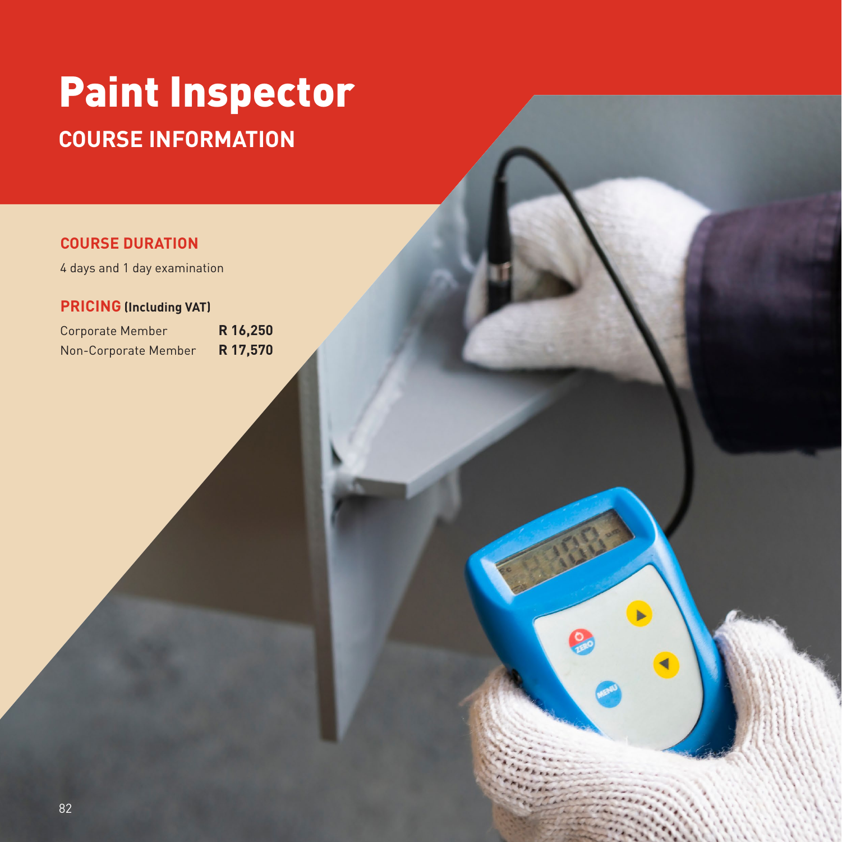# Paint Inspector **COURSE INFORMATION**

## **COURSE DURATION**

4 days and 1 day examination

### **PRICING (Including VAT)**

Corporate Member **R 16,250** Non-Corporate Member **R 17,570**

82